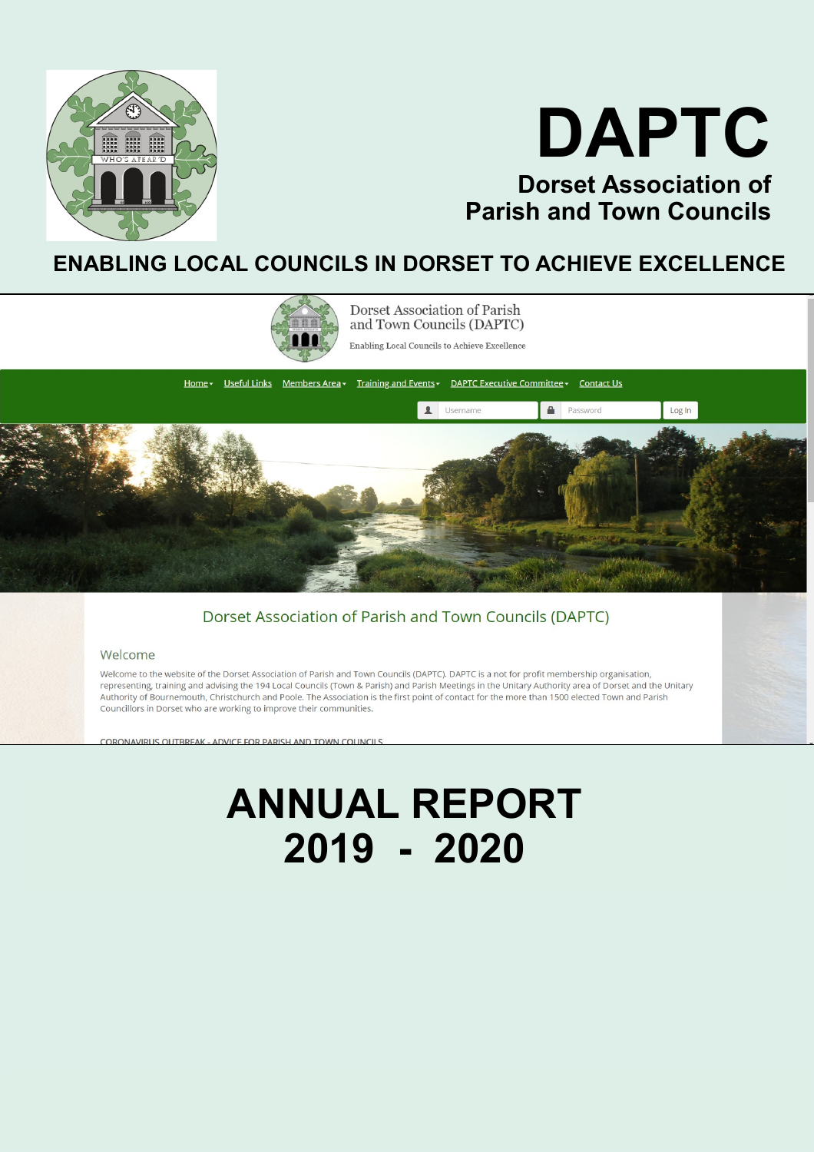



### **ENABLING LOCAL COUNCILS IN DORSET TO ACHIEVE EXCELLENCE**



Dorset Association of Parish and Town Councils (DAPTC)

Enabling Local Councils to Achieve Excellence



#### Dorset Association of Parish and Town Councils (DAPTC)

#### Welcome

Welcome to the website of the Dorset Association of Parish and Town Councils (DAPTC). DAPTC is a not for profit membership organisation. representing, training and advising the 194 Local Councils (Town & Parish) and Parish Meetings in the Unitary Authority area of Dorset and the Unitary Authority of Bournemouth, Christchurch and Poole. The Association is the first point of contact for the more than 1500 elected Town and Parish Councillors in Dorset who are working to improve their communities.

<u> CORONAVIRLIS OLITBREAK - ADVICE FOR PARISH AND TOWN COLIN</u>

## **ANNUAL REPORT 2019 - 2020**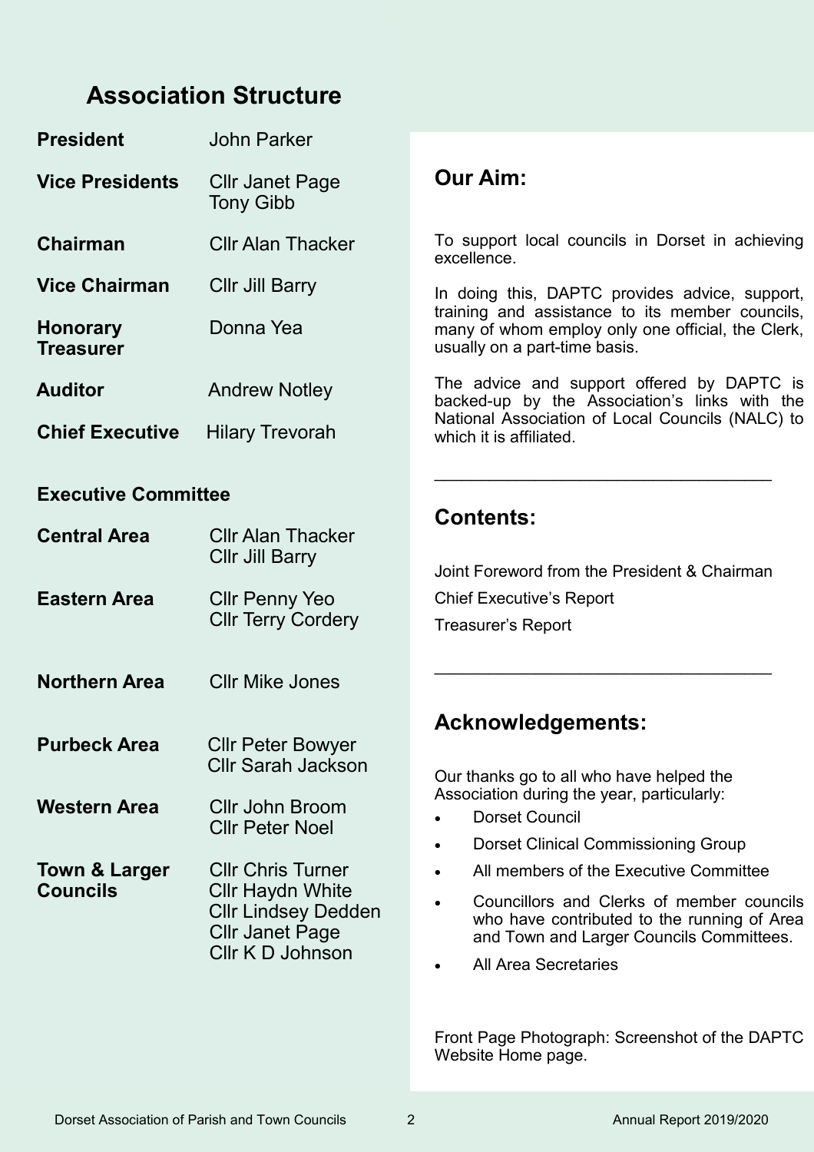### **Association Structure**

| <b>President</b>                    | John Parker                                |                                                                                                                                       |  |  |
|-------------------------------------|--------------------------------------------|---------------------------------------------------------------------------------------------------------------------------------------|--|--|
| <b>Vice Presidents</b>              | <b>Cllr Janet Page</b><br><b>Tony Gibb</b> | <b>Our Aim:</b>                                                                                                                       |  |  |
| <b>Chairman</b>                     | <b>CIIr Alan Thacker</b>                   | To support local councils in Dorset in achieving<br>excellence.                                                                       |  |  |
| <b>Vice Chairman</b>                | Cllr Jill Barry                            | In doing this, DAPTC provides advice, support,                                                                                        |  |  |
| <b>Honorary</b><br><b>Treasurer</b> | Donna Yea                                  | training and assistance to its member councils,<br>many of whom employ only one official, the Clerk,<br>usually on a part-time basis. |  |  |
| <b>Auditor</b>                      | <b>Andrew Notley</b>                       | The advice and support offered by DAPTC is<br>backed-up by the Association's links with the                                           |  |  |
| <b>Chief Executive</b>              | <b>Hilary Trevorah</b>                     | National Association of Local Councils (NALC) to<br>which it is affiliated.                                                           |  |  |

#### **Executive Committee**

| <b>Central Area</b>                         | <b>CIIr Alan Thacker</b><br><b>Cllr Jill Barry</b>                                                                       | Joint Foreword from the President & Chairman                                                                                                                                                                                                                                                                    |
|---------------------------------------------|--------------------------------------------------------------------------------------------------------------------------|-----------------------------------------------------------------------------------------------------------------------------------------------------------------------------------------------------------------------------------------------------------------------------------------------------------------|
| <b>Eastern Area</b>                         | Cllr Penny Yeo<br><b>CIIr Terry Cordery</b>                                                                              | <b>Chief Executive's Report</b><br><b>Treasurer's Report</b>                                                                                                                                                                                                                                                    |
| <b>Northern Area</b>                        | <b>CIIr Mike Jones</b>                                                                                                   |                                                                                                                                                                                                                                                                                                                 |
| <b>Purbeck Area</b><br><b>Western Area</b>  | <b>CIIr Peter Bowyer</b><br><b>Cllr Sarah Jackson</b><br><b>Cllr John Broom</b><br><b>Cllr Peter Noel</b>                | <b>Acknowledgements:</b><br>Our thanks go to all who have helped the<br>Association during the year, particularly:<br><b>Dorset Council</b>                                                                                                                                                                     |
| <b>Town &amp; Larger</b><br><b>Councils</b> | <b>CIIr Chris Turner</b><br>Cllr Haydn White<br><b>Cllr Lindsey Dedden</b><br><b>Cllr Janet Page</b><br>Cllr K D Johnson | <b>Dorset Clinical Commissioning Group</b><br>$\bullet$<br>All members of the Executive Committee<br>$\bullet$<br>Councillors and Clerks of member councils<br>$\bullet$<br>who have contributed to the running of Area<br>and Town and Larger Councils Committees.<br><b>All Area Secretaries</b><br>$\bullet$ |
|                                             |                                                                                                                          |                                                                                                                                                                                                                                                                                                                 |

Front Page Photograph: Screenshot of the DAPTC Website Home page.

\_\_\_\_\_\_\_\_\_\_\_\_\_\_\_\_\_\_\_\_\_\_\_\_\_\_\_\_\_\_\_\_\_\_\_\_\_

**Contents:**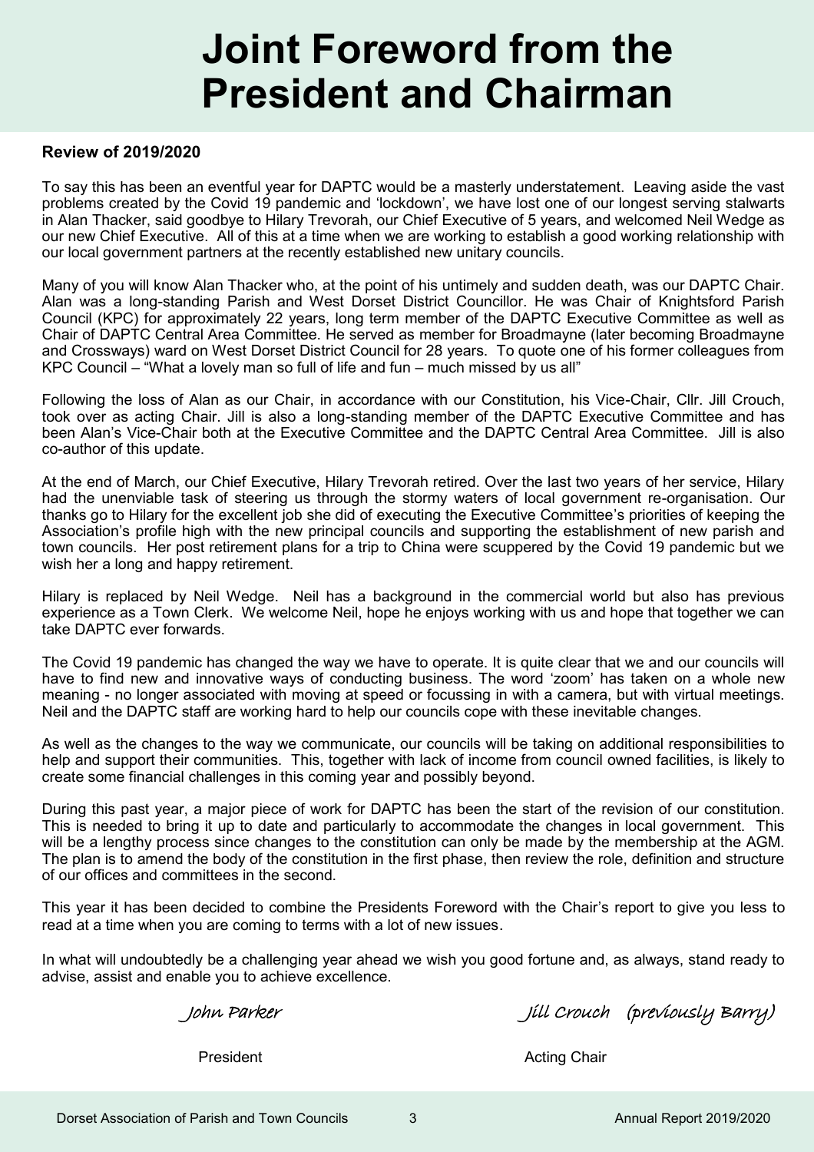## **Joint Foreword from the President and Chairman**

#### **Review of 2019/2020**

To say this has been an eventful year for DAPTC would be a masterly understatement. Leaving aside the vast problems created by the Covid 19 pandemic and 'lockdown', we have lost one of our longest serving stalwarts in Alan Thacker, said goodbye to Hilary Trevorah, our Chief Executive of 5 years, and welcomed Neil Wedge as our new Chief Executive. All of this at a time when we are working to establish a good working relationship with our local government partners at the recently established new unitary councils.

Many of you will know Alan Thacker who, at the point of his untimely and sudden death, was our DAPTC Chair. Alan was a long-standing Parish and West Dorset District Councillor. He was Chair of Knightsford Parish Council (KPC) for approximately 22 years, long term member of the DAPTC Executive Committee as well as Chair of DAPTC Central Area Committee. He served as member for Broadmayne (later becoming Broadmayne and Crossways) ward on West Dorset District Council for 28 years. To quote one of his former colleagues from KPC Council – "What a lovely man so full of life and fun – much missed by us all"

Following the loss of Alan as our Chair, in accordance with our Constitution, his Vice-Chair, Cllr. Jill Crouch, took over as acting Chair. Jill is also a long-standing member of the DAPTC Executive Committee and has been Alan's Vice-Chair both at the Executive Committee and the DAPTC Central Area Committee. Jill is also co-author of this update.

At the end of March, our Chief Executive, Hilary Trevorah retired. Over the last two years of her service, Hilary had the unenviable task of steering us through the stormy waters of local government re-organisation. Our thanks go to Hilary for the excellent job she did of executing the Executive Committee's priorities of keeping the Association's profile high with the new principal councils and supporting the establishment of new parish and town councils. Her post retirement plans for a trip to China were scuppered by the Covid 19 pandemic but we wish her a long and happy retirement.

Hilary is replaced by Neil Wedge. Neil has a background in the commercial world but also has previous experience as a Town Clerk. We welcome Neil, hope he enjoys working with us and hope that together we can take DAPTC ever forwards.

The Covid 19 pandemic has changed the way we have to operate. It is quite clear that we and our councils will have to find new and innovative ways of conducting business. The word 'zoom' has taken on a whole new meaning - no longer associated with moving at speed or focussing in with a camera, but with virtual meetings. Neil and the DAPTC staff are working hard to help our councils cope with these inevitable changes.

As well as the changes to the way we communicate, our councils will be taking on additional responsibilities to help and support their communities. This, together with lack of income from council owned facilities, is likely to create some financial challenges in this coming year and possibly beyond.

During this past year, a major piece of work for DAPTC has been the start of the revision of our constitution. This is needed to bring it up to date and particularly to accommodate the changes in local government. This will be a lengthy process since changes to the constitution can only be made by the membership at the AGM. The plan is to amend the body of the constitution in the first phase, then review the role, definition and structure of our offices and committees in the second.

This year it has been decided to combine the Presidents Foreword with the Chair's report to give you less to read at a time when you are coming to terms with a lot of new issues.

In what will undoubtedly be a challenging year ahead we wish you good fortune and, as always, stand ready to advise, assist and enable you to achieve excellence.

John Parker Jill Crouch (previously Barry)

President **Acting Chair**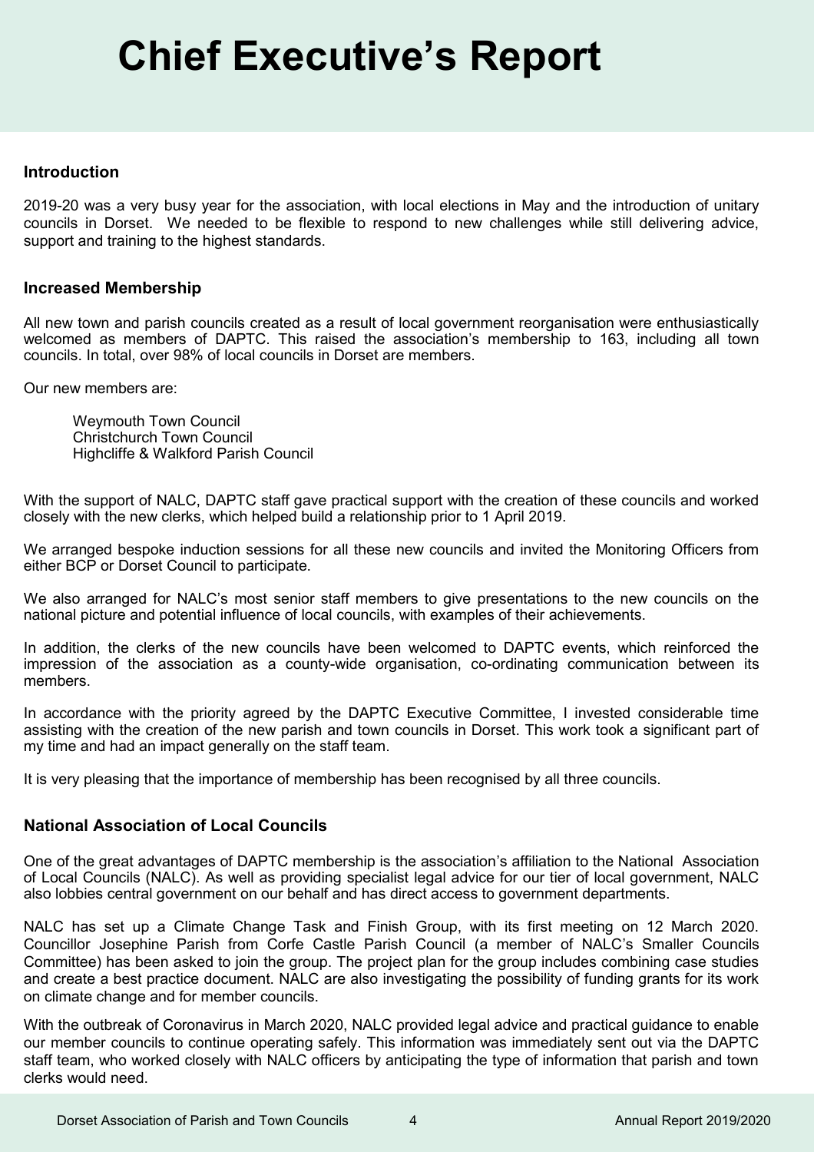#### **Introduction**

2019-20 was a very busy year for the association, with local elections in May and the introduction of unitary councils in Dorset. We needed to be flexible to respond to new challenges while still delivering advice, support and training to the highest standards.

#### **Increased Membership**

All new town and parish councils created as a result of local government reorganisation were enthusiastically welcomed as members of DAPTC. This raised the association's membership to 163, including all town councils. In total, over 98% of local councils in Dorset are members.

Our new members are:

Weymouth Town Council Christchurch Town Council Highcliffe & Walkford Parish Council

With the support of NALC, DAPTC staff gave practical support with the creation of these councils and worked closely with the new clerks, which helped build a relationship prior to 1 April 2019.

We arranged bespoke induction sessions for all these new councils and invited the Monitoring Officers from either BCP or Dorset Council to participate.

We also arranged for NALC's most senior staff members to give presentations to the new councils on the national picture and potential influence of local councils, with examples of their achievements.

In addition, the clerks of the new councils have been welcomed to DAPTC events, which reinforced the impression of the association as a county-wide organisation, co-ordinating communication between its members.

In accordance with the priority agreed by the DAPTC Executive Committee, I invested considerable time assisting with the creation of the new parish and town councils in Dorset. This work took a significant part of my time and had an impact generally on the staff team.

It is very pleasing that the importance of membership has been recognised by all three councils.

#### **National Association of Local Councils**

One of the great advantages of DAPTC membership is the association's affiliation to the National Association of Local Councils (NALC). As well as providing specialist legal advice for our tier of local government, NALC also lobbies central government on our behalf and has direct access to government departments.

NALC has set up a Climate Change Task and Finish Group, with its first meeting on 12 March 2020. Councillor Josephine Parish from Corfe Castle Parish Council (a member of NALC's Smaller Councils Committee) has been asked to join the group. The project plan for the group includes combining case studies and create a best practice document. NALC are also investigating the possibility of funding grants for its work on climate change and for member councils.

With the outbreak of Coronavirus in March 2020, NALC provided legal advice and practical guidance to enable our member councils to continue operating safely. This information was immediately sent out via the DAPTC staff team, who worked closely with NALC officers by anticipating the type of information that parish and town clerks would need.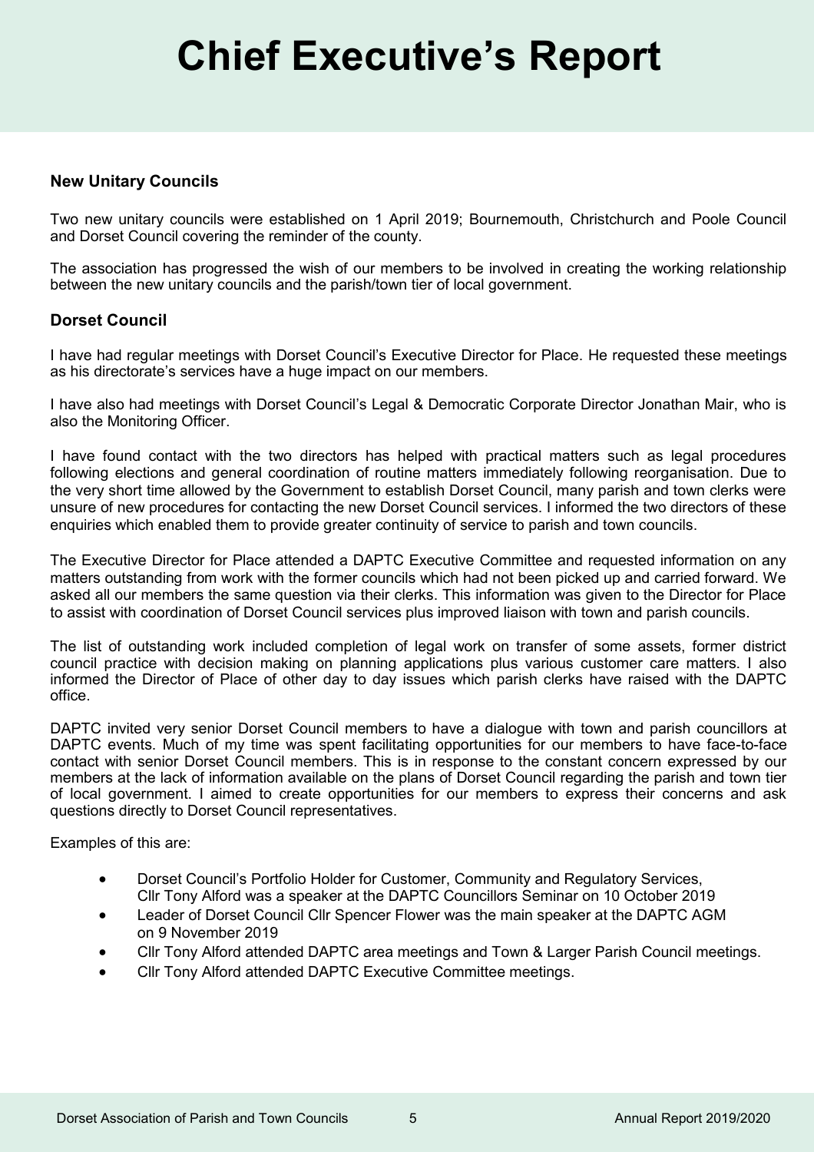#### **New Unitary Councils**

Two new unitary councils were established on 1 April 2019; Bournemouth, Christchurch and Poole Council and Dorset Council covering the reminder of the county.

The association has progressed the wish of our members to be involved in creating the working relationship between the new unitary councils and the parish/town tier of local government.

#### **Dorset Council**

I have had regular meetings with Dorset Council's Executive Director for Place. He requested these meetings as his directorate's services have a huge impact on our members.

I have also had meetings with Dorset Council's Legal & Democratic Corporate Director Jonathan Mair, who is also the Monitoring Officer.

I have found contact with the two directors has helped with practical matters such as legal procedures following elections and general coordination of routine matters immediately following reorganisation. Due to the very short time allowed by the Government to establish Dorset Council, many parish and town clerks were unsure of new procedures for contacting the new Dorset Council services. I informed the two directors of these enquiries which enabled them to provide greater continuity of service to parish and town councils.

The Executive Director for Place attended a DAPTC Executive Committee and requested information on any matters outstanding from work with the former councils which had not been picked up and carried forward. We asked all our members the same question via their clerks. This information was given to the Director for Place to assist with coordination of Dorset Council services plus improved liaison with town and parish councils.

The list of outstanding work included completion of legal work on transfer of some assets, former district council practice with decision making on planning applications plus various customer care matters. I also informed the Director of Place of other day to day issues which parish clerks have raised with the DAPTC office.

DAPTC invited very senior Dorset Council members to have a dialogue with town and parish councillors at DAPTC events. Much of my time was spent facilitating opportunities for our members to have face-to-face contact with senior Dorset Council members. This is in response to the constant concern expressed by our members at the lack of information available on the plans of Dorset Council regarding the parish and town tier of local government. I aimed to create opportunities for our members to express their concerns and ask questions directly to Dorset Council representatives.

Examples of this are:

- Dorset Council's Portfolio Holder for Customer, Community and Regulatory Services, Cllr Tony Alford was a speaker at the DAPTC Councillors Seminar on 10 October 2019
- Leader of Dorset Council Cllr Spencer Flower was the main speaker at the DAPTC AGM on 9 November 2019
- Cllr Tony Alford attended DAPTC area meetings and Town & Larger Parish Council meetings.
- Cllr Tony Alford attended DAPTC Executive Committee meetings.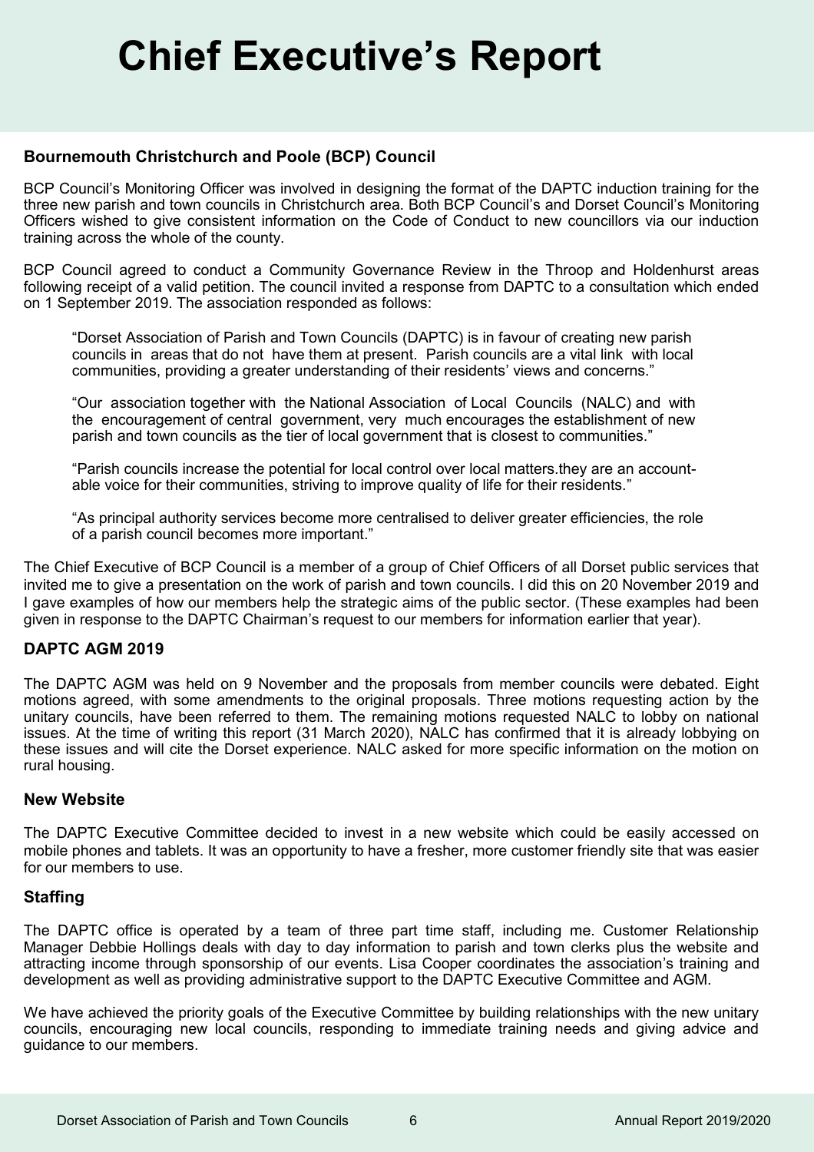#### **Bournemouth Christchurch and Poole (BCP) Council**

BCP Council's Monitoring Officer was involved in designing the format of the DAPTC induction training for the three new parish and town councils in Christchurch area. Both BCP Council's and Dorset Council's Monitoring Officers wished to give consistent information on the Code of Conduct to new councillors via our induction training across the whole of the county.

BCP Council agreed to conduct a Community Governance Review in the Throop and Holdenhurst areas following receipt of a valid petition. The council invited a response from DAPTC to a consultation which ended on 1 September 2019. The association responded as follows:

"Dorset Association of Parish and Town Councils (DAPTC) is in favour of creating new parish councils in areas that do not have them at present. Parish councils are a vital link with local communities, providing a greater understanding of their residents' views and concerns."

"Our association together with the National Association of Local Councils (NALC) and with the encouragement of central government, very much encourages the establishment of new parish and town councils as the tier of local government that is closest to communities."

"Parish councils increase the potential for local control over local matters.they are an accountable voice for their communities, striving to improve quality of life for their residents."

"As principal authority services become more centralised to deliver greater efficiencies, the role of a parish council becomes more important."

The Chief Executive of BCP Council is a member of a group of Chief Officers of all Dorset public services that invited me to give a presentation on the work of parish and town councils. I did this on 20 November 2019 and I gave examples of how our members help the strategic aims of the public sector. (These examples had been given in response to the DAPTC Chairman's request to our members for information earlier that year).

#### **DAPTC AGM 2019**

The DAPTC AGM was held on 9 November and the proposals from member councils were debated. Eight motions agreed, with some amendments to the original proposals. Three motions requesting action by the unitary councils, have been referred to them. The remaining motions requested NALC to lobby on national issues. At the time of writing this report (31 March 2020), NALC has confirmed that it is already lobbying on these issues and will cite the Dorset experience. NALC asked for more specific information on the motion on rural housing.

#### **New Website**

The DAPTC Executive Committee decided to invest in a new website which could be easily accessed on mobile phones and tablets. It was an opportunity to have a fresher, more customer friendly site that was easier for our members to use.

#### **Staffing**

The DAPTC office is operated by a team of three part time staff, including me. Customer Relationship Manager Debbie Hollings deals with day to day information to parish and town clerks plus the website and attracting income through sponsorship of our events. Lisa Cooper coordinates the association's training and development as well as providing administrative support to the DAPTC Executive Committee and AGM.

We have achieved the priority goals of the Executive Committee by building relationships with the new unitary councils, encouraging new local councils, responding to immediate training needs and giving advice and guidance to our members.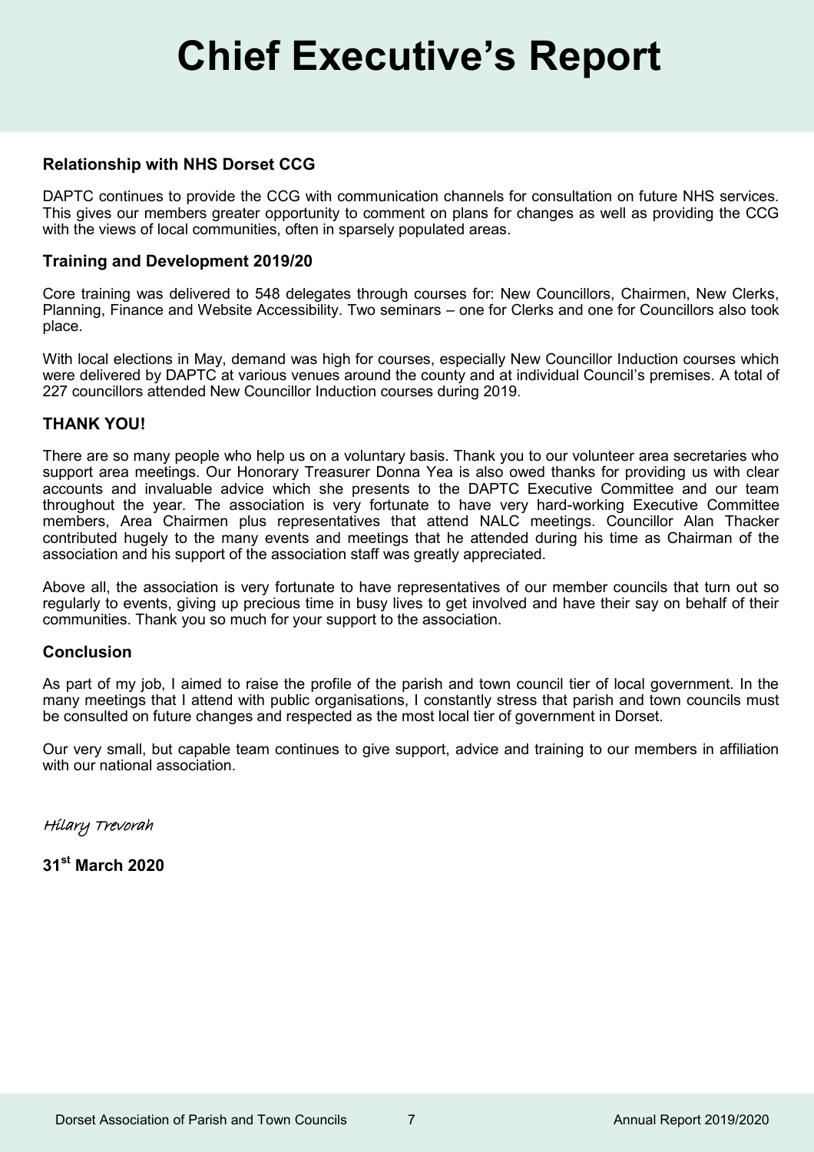#### **Relationship with NHS Dorset CCG**

DAPTC continues to provide the CCG with communication channels for consultation on future NHS services. This gives our members greater opportunity to comment on plans for changes as well as providing the CCG with the views of local communities, often in sparsely populated areas.

#### **Training and Development 2019/20**

Core training was delivered to 548 delegates through courses for: New Councillors, Chairmen, New Clerks, Planning, Finance and Website Accessibility. Two seminars – one for Clerks and one for Councillors also took place.

With local elections in May, demand was high for courses, especially New Councillor Induction courses which were delivered by DAPTC at various venues around the county and at individual Council's premises. A total of 227 councillors attended New Councillor Induction courses during 2019.

#### **THANK YOU!**

There are so many people who help us on a voluntary basis. Thank you to our volunteer area secretaries who support area meetings. Our Honorary Treasurer Donna Yea is also owed thanks for providing us with clear accounts and invaluable advice which she presents to the DAPTC Executive Committee and our team throughout the year. The association is very fortunate to have very hard-working Executive Committee members, Area Chairmen plus representatives that attend NALC meetings. Councillor Alan Thacker contributed hugely to the many events and meetings that he attended during his time as Chairman of the association and his support of the association staff was greatly appreciated.

Above all, the association is very fortunate to have representatives of our member councils that turn out so regularly to events, giving up precious time in busy lives to get involved and have their say on behalf of their communities. Thank you so much for your support to the association.

#### **Conclusion**

As part of my job, I aimed to raise the profile of the parish and town council tier of local government. In the many meetings that I attend with public organisations, I constantly stress that parish and town councils must be consulted on future changes and respected as the most local tier of government in Dorset.

Our very small, but capable team continues to give support, advice and training to our members in affiliation with our national association

Hilary Trevorah

**31st March 2020**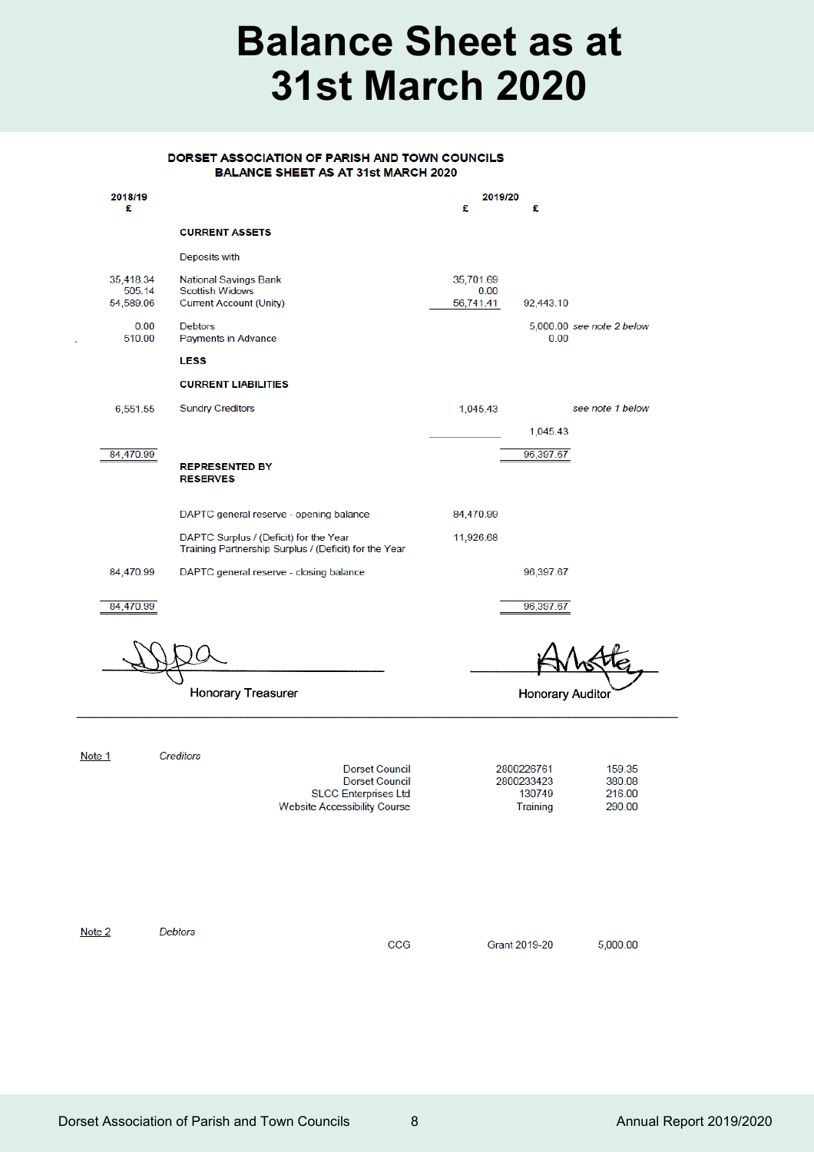## **Balance Sheet as at 31st March 2020**

#### DORSET ASSOCIATION OF PARISH AND TOWN COUNCILS **BALANCE SHEET AS AT 31st MARCH 2020**

| 2018/19<br>£                     |                                                                                                                      | 2019/20<br>£                   | £                                                          |  |
|----------------------------------|----------------------------------------------------------------------------------------------------------------------|--------------------------------|------------------------------------------------------------|--|
|                                  | <b>CURRENT ASSETS</b>                                                                                                |                                |                                                            |  |
|                                  | Deposits with                                                                                                        |                                |                                                            |  |
| 35,418.34<br>505.14<br>54,589.06 | <b>National Savings Bank</b><br><b>Scottish Widows</b><br><b>Current Account (Unity)</b>                             | 35,701.69<br>0.00<br>56,741.41 | 92,443.10                                                  |  |
| 0.00<br>510.00                   | <b>Debtors</b><br>Payments in Advance                                                                                |                                | 5,000.00 see note 2 below<br>0.00                          |  |
|                                  | <b>LESS</b>                                                                                                          |                                |                                                            |  |
|                                  | <b>CURRENT LIABILITIES</b>                                                                                           |                                |                                                            |  |
| 6,551.55                         | <b>Sundry Creditors</b>                                                                                              | 1,045.43                       | see note 1 below                                           |  |
|                                  |                                                                                                                      |                                | 1,045.43                                                   |  |
| 84,470.99                        | <b>REPRESENTED BY</b><br><b>RESERVES</b>                                                                             |                                | 96,397.67                                                  |  |
|                                  | DAPTC general reserve - opening balance                                                                              | 84,470.99                      |                                                            |  |
|                                  | DAPTC Surplus / (Deficit) for the Year<br>Training Partnership Surplus / (Deficit) for the Year                      | 11,926.68                      |                                                            |  |
| 84,470.99                        | DAPTC general reserve - closing balance                                                                              |                                | 96,397.67                                                  |  |
| 84,470.99                        |                                                                                                                      |                                | 96,397.67                                                  |  |
|                                  |                                                                                                                      |                                |                                                            |  |
|                                  | <b>Honorary Treasurer</b>                                                                                            | <b>Honorary Auditor</b>        |                                                            |  |
| Note 1                           | Creditors                                                                                                            |                                |                                                            |  |
|                                  | <b>Dorset Council</b><br><b>Dorset Council</b><br><b>SLCC Enterprises Ltd</b><br><b>Website Accessibility Course</b> | 2800226761<br>2800233423       | 159.35<br>380.08<br>130749<br>216.00<br>Training<br>290.00 |  |
|                                  |                                                                                                                      |                                |                                                            |  |

Note 2

Debtors

 $CCG$ 

**Grant 2019-20** 

5,000.00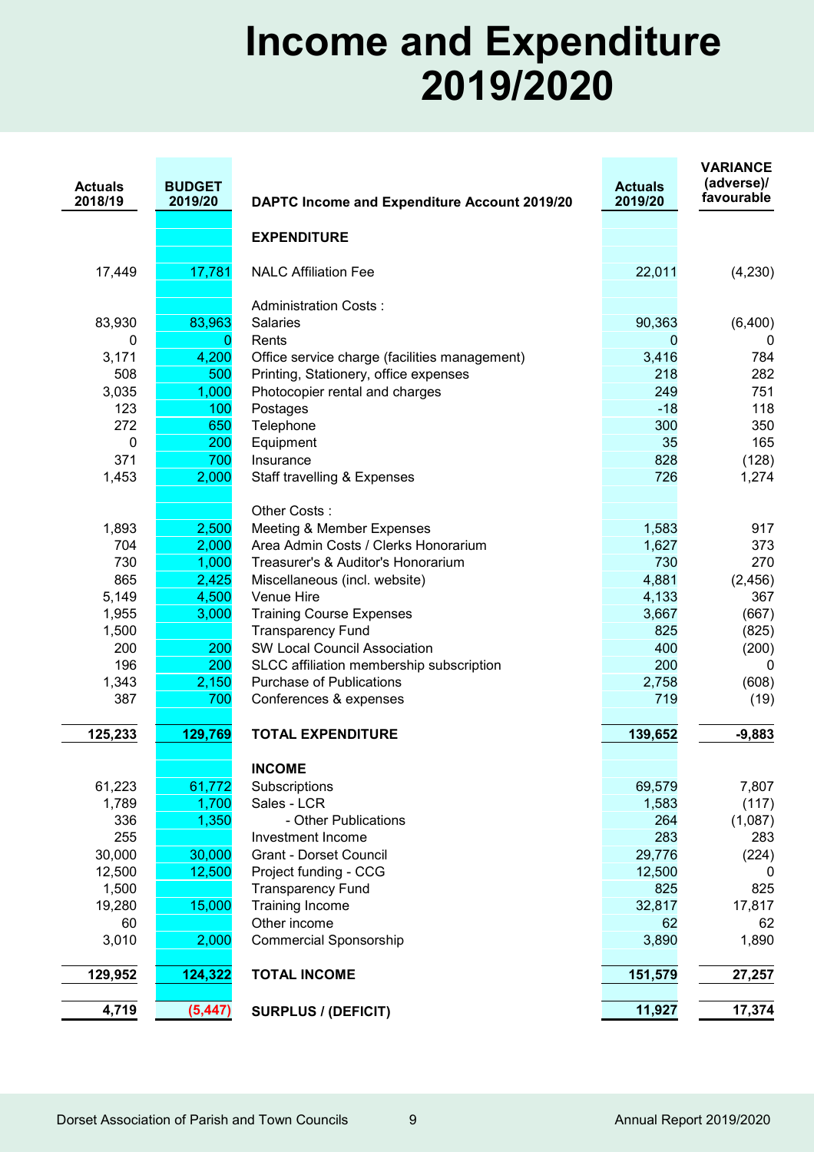## **Income and Expenditure 2019/2020**

| <b>Actuals</b><br>2018/19 | <b>BUDGET</b><br>2019/20 | DAPTC Income and Expenditure Account 2019/20  | <b>Actuals</b><br>2019/20 | <b>VARIANCE</b><br>(adverse)/<br>favourable |
|---------------------------|--------------------------|-----------------------------------------------|---------------------------|---------------------------------------------|
|                           |                          | <b>EXPENDITURE</b>                            |                           |                                             |
| 17,449                    | 17,781                   | <b>NALC Affiliation Fee</b>                   | 22,011                    | (4,230)                                     |
|                           |                          |                                               |                           |                                             |
|                           |                          | <b>Administration Costs:</b>                  |                           |                                             |
| 83,930                    | 83,963                   | <b>Salaries</b>                               | 90,363                    | (6,400)                                     |
| 0                         | 0                        | Rents                                         | $\overline{0}$            | 0                                           |
| 3,171                     | 4,200                    | Office service charge (facilities management) | 3,416                     | 784                                         |
| 508                       | 500                      | Printing, Stationery, office expenses         | 218                       | 282                                         |
| 3,035                     | 1,000                    | Photocopier rental and charges                | 249                       | 751                                         |
| 123                       | 100                      | Postages                                      | $-18$                     | 118                                         |
| 272                       | 650                      | Telephone                                     | 300                       | 350                                         |
| 0                         | 200                      | Equipment                                     | 35                        | 165                                         |
| 371                       | 700                      | Insurance                                     | 828                       | (128)                                       |
| 1,453                     | 2,000                    | Staff travelling & Expenses                   | 726                       | 1,274                                       |
|                           |                          | Other Costs:                                  |                           |                                             |
| 1,893                     | 2,500                    | Meeting & Member Expenses                     | 1,583                     | 917                                         |
| 704                       | 2,000                    | Area Admin Costs / Clerks Honorarium          | 1,627                     | 373                                         |
| 730                       | 1,000                    | Treasurer's & Auditor's Honorarium            | 730                       | 270                                         |
| 865                       | 2,425                    | Miscellaneous (incl. website)                 | 4,881                     | (2, 456)                                    |
| 5,149                     | 4,500                    | Venue Hire                                    | 4,133                     | 367                                         |
| 1,955                     | 3,000                    | <b>Training Course Expenses</b>               | 3,667                     | (667)                                       |
| 1,500                     |                          | <b>Transparency Fund</b>                      | 825                       | (825)                                       |
| 200                       | 200                      | <b>SW Local Council Association</b>           | 400                       | (200)                                       |
| 196                       | 200                      | SLCC affiliation membership subscription      | 200                       | 0                                           |
| 1,343                     | 2,150                    | <b>Purchase of Publications</b>               | 2,758                     | (608)                                       |
| 387                       | 700                      | Conferences & expenses                        | 719                       | (19)                                        |
| 125,233                   | 129,769                  | <b>TOTAL EXPENDITURE</b>                      | 139,652                   | $-9,883$                                    |
|                           |                          | <b>INCOME</b>                                 |                           |                                             |
| 61,223                    | 61,772                   | Subscriptions                                 | 69,579                    | 7,807                                       |
| 1,789                     | 1,700                    | Sales - LCR                                   | 1,583                     | (117)                                       |
| 336                       | 1,350                    | - Other Publications                          | 264                       | (1,087)                                     |
| 255                       |                          | Investment Income                             | 283                       | 283                                         |
| 30,000                    | 30,000                   | <b>Grant - Dorset Council</b>                 | 29,776                    | (224)                                       |
| 12,500                    | 12,500                   | Project funding - CCG                         | 12,500                    | 0                                           |
| 1,500                     |                          | <b>Transparency Fund</b>                      | 825                       | 825                                         |
| 19,280                    | 15,000                   | <b>Training Income</b>                        | 32,817                    | 17,817                                      |
| 60                        |                          | Other income                                  | 62                        | 62                                          |
| 3,010                     | 2,000                    | <b>Commercial Sponsorship</b>                 | 3,890                     | 1,890                                       |
|                           |                          |                                               |                           |                                             |
| 129,952                   | 124,322                  | <b>TOTAL INCOME</b>                           | 151,579                   | 27,257                                      |
| 4,719                     | (5, 447)                 | <b>SURPLUS / (DEFICIT)</b>                    | 11,927                    | 17,374                                      |